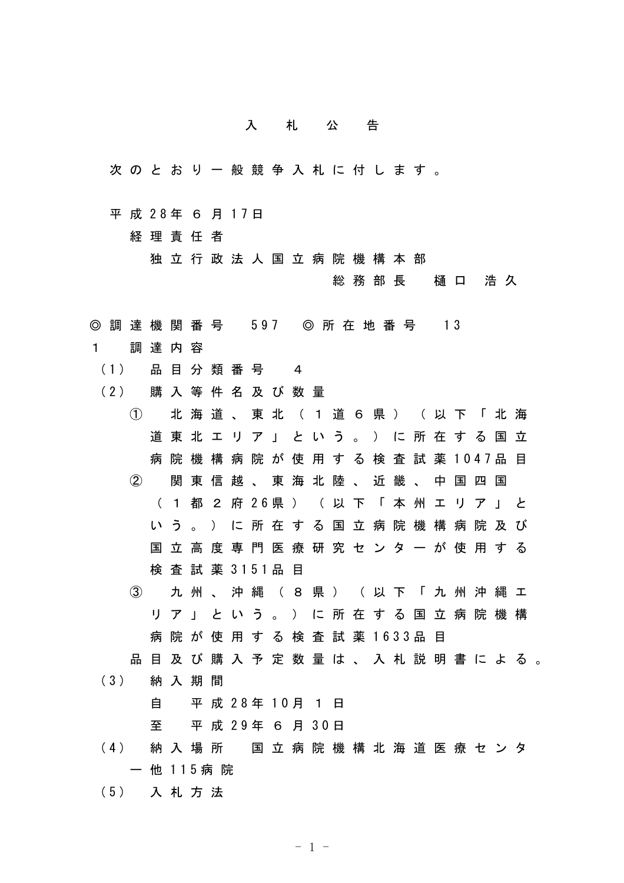## 入札公告

- 次のとおり一般競争入札に付します。
- 平 成 28年 6 月 17日

経理責任者

独立行政法人国立病院機構本部

総務部長 樋口 浩久

- ◎ 調 達 機 関 番 号 597 ◎ 所 在 地 番 号 13
- 1 調達内容
	- (1) 品 目 分 類 番 号 4
	- (2) 購 入 等 件 名 及 び 数 量
		- ① 北海道、東北(1道6県)(以下「北海 道東北エリア」という。)に所在する国立 病院機構病院が使用する検査試薬 1047品目 ② 関東信越、東海北陸、近畿、中国四国 ( 1 都 2 府 26県 ) ( 以 下 「 本 州 エ リ ア 」 と いう。)に所在する国立病院機構病院及び 国立高度専門医療研究センターが使用する 検 査 試 薬 3151品 目
			- ③ 九州、沖縄(8県)(以下「九州沖縄エ リア」という。)に所在する国立病院機構 病院が使用する検査試薬 1633品目
	- 品目及び購入予定数量は、入札説明書による。
	- (3) 納 入 期 間

自 平 成 28年 10月 1 日

至 平 成 29年 6 月 30日

- (4) 納 入 場 所 国 立 病 院 機 構 北 海 道 医 療 セ ン タ ー 他 115病 院
- (5) 入 札 方 法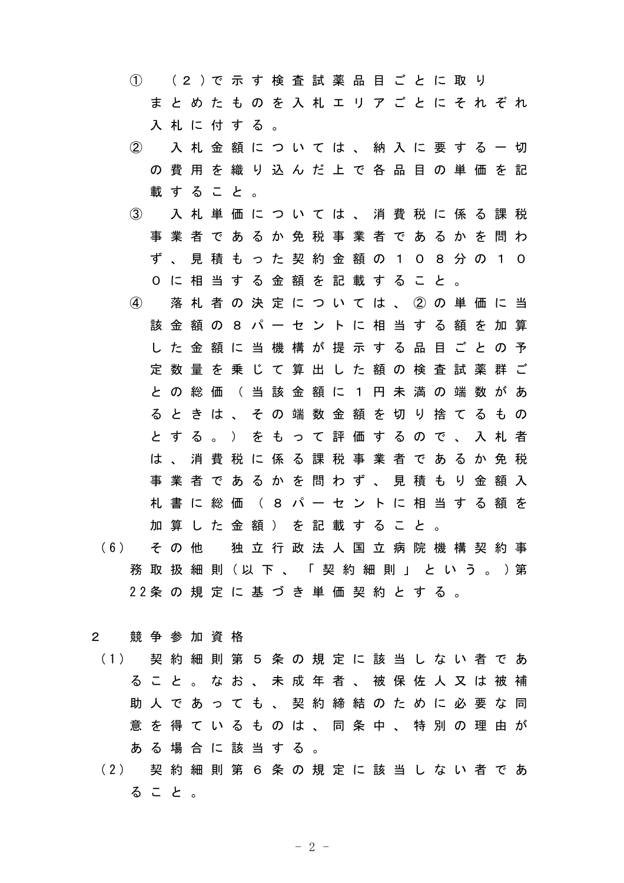① (2 )で 示 す 検 査 試 薬 品 目 ご と に 取 り まとめたものを入札エリアごとにそれぞれ 入札に付する。 ② 入札金額については、納入に要する一切 の費用を織り込んだ上で各品目の単価を記 載すること。 ③ 入札単価については、消費税に係る課税 事業者であるか免税事業者であるかを問わ ず、見積もった契約金額の108分の10 0に相当する金額を記載すること。 ④ 落札者の決定については、②の単価に当 該金額の8パーセントに相当する額を加算 した金額に当機構が提示する品目ごとの予 定数量を乗じて算出した額の検査試薬群ご との総価(当該金額に1円未満の端数があ るときは、その端数金額を切り捨てるもの とする。)をもって評価するので、入札者 は、消費税に係る課税事業者であるか免税 事業者であるかを問わず、見積もり金額入 札書に総価(8パーセントに相当する額を 加算した金額)を記載すること。

(6) そ の 他 独 立 行 政 法 人 国 立 病 院 機 構 契 約 事 務 取 扱 細 則 (以 下 、 「 契 約 細 則 」 と い う 。 ) 第 22条 の 規 定 に 基 づ き 単 価 契 約 と す る 。

## 2 競争参加資格

- (1) 契 約 細 則 第 5 条 の 規 定 に 該 当 し な い 者 で あ ること。なお、未成年者、被保佐人又は被補 助 人 で あ っ て も 、 契 約 締 結 の た め に 必 要 な 同 意を得ているものは、同条中、特別の理由が ある場合に該当する。
- (2) 契 約 細 則 第 6 条 の 規 定 に 該 当 し な い 者 で あ ること。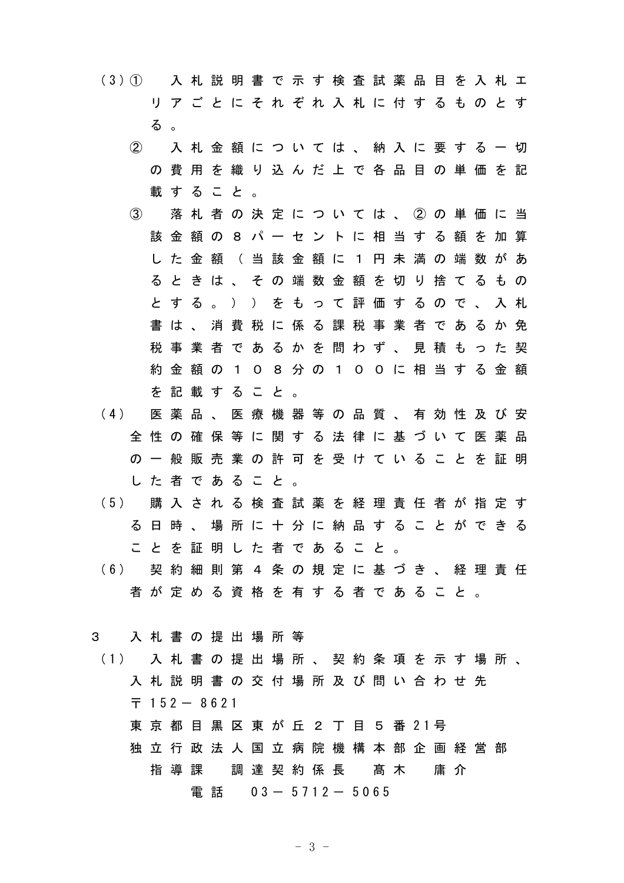(3)① 入札説明書で示す検査試薬品目を入札エ リアごとにそれぞれ入札に付するものとす る 。

- ② 入札金額については、納入に要する一切 の費用を織り込んだ上で各品目の単価を記 載すること。
- ③ 落札者の決定については、②の単価に当 該金額の8パーセントに相当する額を加算 した金額 (当該金額に1円未満の端数があ るときは、その端数金額を切り捨てるもの とする。))をもって評価するので、入札 書は、消費税に係る課税事業者であるか免 税事業者であるかを問わず、見積もった契 約金額の108分の100に相当する金額 を記載すること。
- (4) 医 薬 品 、 医 療 機 器 等 の 品 質 、 有 効 性 及 び 安 全性の確保等に関する法律に基づいて医薬品 の一般販売業の許可を受けていることを証明 した者であること。
- (5) 購 入 さ れ る 検 査 試 薬 を 経 理 責 任 者 が 指 定 す る日時、場所に十分に納品することができる ことを証明した者であること。
- (6) 契 約 細 則 第 4 条 の 規 定 に 基 づ き 、 経 理 責 任 者が定める資格を有する者であること。

3 入札書の提出場所等

(1) 入 札 書 の 提 出 場 所 、 契 約 条 項 を 示 す 場 所 、 入札説明書の交付場所及び問い合わせ先  $7152 - 8621$ 東 京 都 目 黒 区 東 が 丘 2 丁 目 5 番 21号 独立行政法人国立病院機構本部企画経営部 指 導 課 調 達 契 約 係 長 髙 木 庸 介 電話 03- 5712- 5065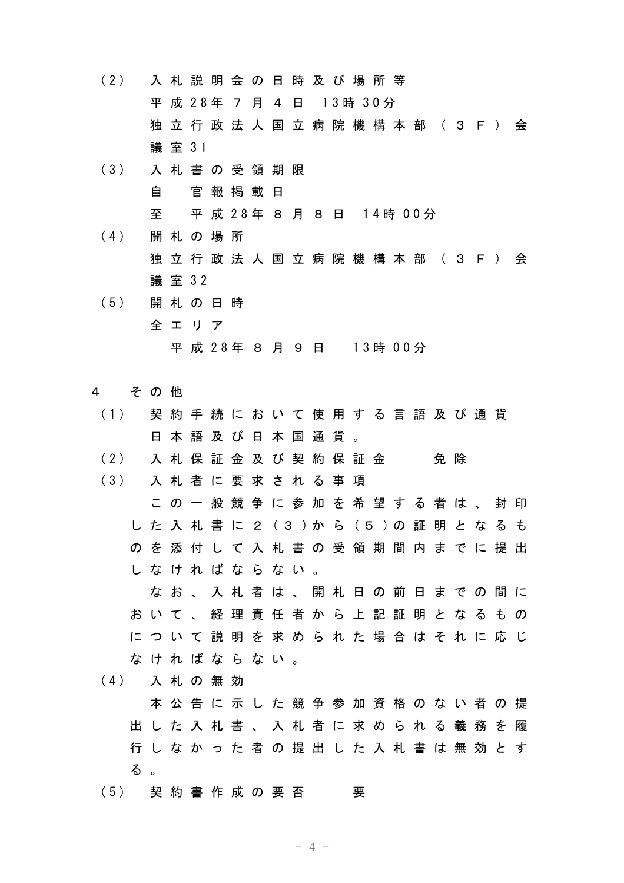(2) 入 札 説 明 会 の 日 時 及 び 場 所 等 平 成 28年 7 月 4 日 13時 30分 独立行政法人国立病院機構本部 (3F) 会 議 室 31

(3) 入 札 書 の 受 領 期 限 自 官報掲載日 至 平 成 28年 8 月 8 日 14時 00分

(4) 開 札 の 場 所 独立行政法人国立病院機構本部 (3F) 会 議 室 32

- (5) 開 札 の 日 時 全エリア 平 成 28年 8 月 9 日 13時 00分
- 4 その他
	- (1) 契 約 手 続 に お い て 使 用 す る 言 語 及 び 通 貨 日本語及び日本国通貨。
	- (2) 入 札 保 証 金 及 び 契 約 保 証 金 会 免 除
	- (3) 入 札 者 に 要 求 さ れ る 事 項 この一般競争に参加を希望する者は、封印 し た 入 札 書 に 2 (3 )か ら (5 )の 証 明 と な る も のを添付して入札書の受領期間内までに提出 しなければならない。 なお、入札者は、開札日の前日までの間に おいて、経理責任者から上記証明となるもの

について説明を求められた場合はそれに応じ なければならない。

(4) 入 札 の 無 効

本公告に示した競争参加資格のない者の提 出した入札書、入札者に求められる義務を履 行しなかった者の提出した入札書は無効とす る 。

(5) 契 約 書 作 成 の 要 否 要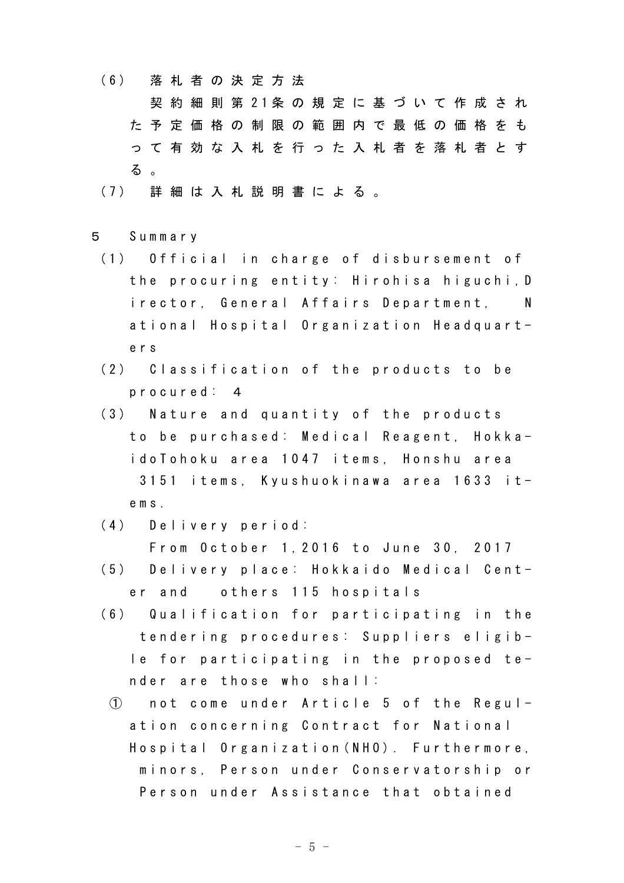(6) 落 札 者 の 決 定 方 法

契 約 細 則 第 21条 の 規 定 に 基 づ い て 作 成 さ れ た予定価格の制限の範囲内で最低の価格をも って有効な入札を行った入札者を落札者とす る 。

- (7) 詳 細 は 入 札 説 明 書 に よ る 。
- 5 Summary
	- (1) Official in charge of disbursement of the procuring entity: Hirohisa higuchi,D irector, General Affairs Department, N ational Hospital Organization Headquarters
	- (2) Classification of the products to be procured: 4
	- (3) Nature and quantity of the products to be purchased: Medical Reagent, HokkaidoTohoku area 1047 items, Honshu area 3151 items, Kyushuokinawa area 1633 items.
	- (4) Delivery period: From October 1,2016 to June 30, 2017
	- (5) Delivery place: Hokkaido Medical Center and others 115 hospitals
	- (6) Qualification for participating in the tendering procedures: Suppliers eligible for participating in the proposed tender are those who shall:
		- ① not come under Article 5 of the Regulation concerning Contract for National Hospital Organization(NHO). Furthermore, minors, Person under Conservatorship or Person under Assistance that obtained